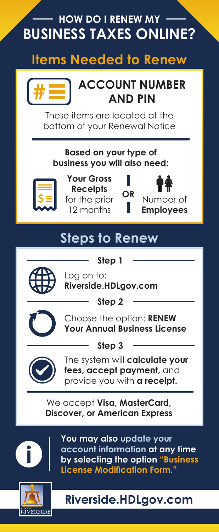## **HOW DO I RENEW MY BUSINESS TAXES ONLINE?**

## **Items Needed to Renew**

### **ACCOUNT NUMBER AND PIN**

These items are located at the bottom of your Renewal Notice

#### **Based on your type of business you will also need:**



**Your Gross Receipts** for the prior 12 months



Number of **Employees**

## **Steps to Renew**



**Step 1**

Log on to: **Riverside.HDLgov.com**



**Step 2**

Choose the option: **RENEW Your Annual Business License**



**Step 3**

The system will **calculate your fees, accept payment,** and provide you with **a receipt.**

We accept **Visa, MasterCard, Discover, or American Express**



**You may also update your account information at any time by selecting the option "Business License Modification Form."**



## **Riverside.HDLgov.com**